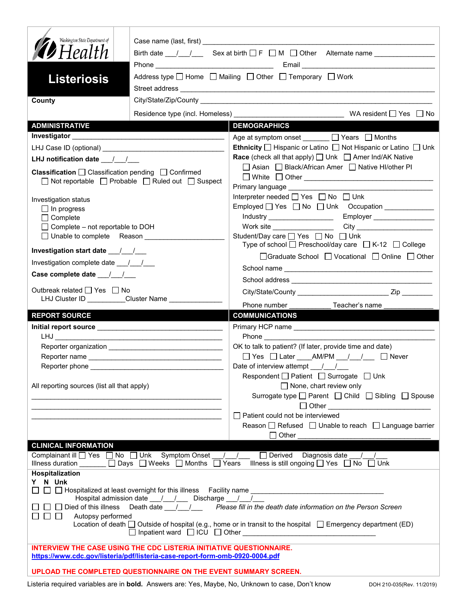| Washington State Department of<br><b>12</b> Health<br><b>Listeriosis</b><br>County                                                                                          | Birth date $\frac{1}{\sqrt{2}}$ Sex at birth $\Box$ F $\Box$ M $\Box$ Other Alternate name $\Box$<br>Address type   Home   Mailing   Other   Temporary   Work        |
|-----------------------------------------------------------------------------------------------------------------------------------------------------------------------------|----------------------------------------------------------------------------------------------------------------------------------------------------------------------|
|                                                                                                                                                                             |                                                                                                                                                                      |
| <b>ADMINISTRATIVE</b>                                                                                                                                                       | <b>DEMOGRAPHICS</b>                                                                                                                                                  |
|                                                                                                                                                                             | Age at symptom onset $\Box$ Years $\Box$ Months                                                                                                                      |
|                                                                                                                                                                             | Ethnicity □ Hispanic or Latino □ Not Hispanic or Latino □ Unk                                                                                                        |
| LHJ notification date $\frac{1}{2}$                                                                                                                                         | <b>Race</b> (check all that apply) $\Box$ Unk $\Box$ Amer Ind/AK Native                                                                                              |
| <b>Classification</b> $\Box$ Classification pending $\Box$ Confirmed<br>$\Box$ Not reportable $\Box$ Probable $\Box$ Ruled out $\Box$ Suspect                               | □ Asian □ Black/African Amer □ Native HI/other PI<br>Primary language Manuscriptus and District Control of Primary Institute Control of Trustee Control of Trustee C |
| Investigation status                                                                                                                                                        | Interpreter needed □ Yes □ No □ Unk                                                                                                                                  |
| $\Box$ In progress                                                                                                                                                          | Employed   Yes   No   Unk Occupation ____________                                                                                                                    |
| $\Box$ Complete                                                                                                                                                             |                                                                                                                                                                      |
| $\Box$ Complete – not reportable to DOH                                                                                                                                     |                                                                                                                                                                      |
|                                                                                                                                                                             | Student/Day care □ Yes □ No □ Unk<br>Type of school $\Box$ Preschool/day care $\Box$ K-12 $\Box$ College                                                             |
|                                                                                                                                                                             | □Graduate School □ Vocational □ Online □ Other                                                                                                                       |
| Investigation complete date ___/___/___                                                                                                                                     |                                                                                                                                                                      |
| Case complete date __/_/__/                                                                                                                                                 |                                                                                                                                                                      |
| Outbreak related □ Yes □ No                                                                                                                                                 |                                                                                                                                                                      |
| LHJ Cluster ID _________Cluster Name ______________                                                                                                                         |                                                                                                                                                                      |
|                                                                                                                                                                             |                                                                                                                                                                      |
|                                                                                                                                                                             | Phone number ________________ Teacher's name                                                                                                                         |
| <b>REPORT SOURCE</b>                                                                                                                                                        | <b>COMMUNICATIONS</b>                                                                                                                                                |
|                                                                                                                                                                             |                                                                                                                                                                      |
|                                                                                                                                                                             | OK to talk to patient? (If later, provide time and date)                                                                                                             |
|                                                                                                                                                                             | □ Yes □ Later ____ AM/PM __ / __ / __ □ Never                                                                                                                        |
| Reporter phone <b>Example</b>                                                                                                                                               | Date of interview attempt $\frac{1}{\sqrt{1-\frac{1}{2}}}$                                                                                                           |
|                                                                                                                                                                             | Respondent   Patient   Surrogate   Unk                                                                                                                               |
| All reporting sources (list all that apply)                                                                                                                                 | $\Box$ None, chart review only<br>Surrogate type<br>□ Parent<br>□ Child  □ Sibling □ Spouse                                                                          |
|                                                                                                                                                                             | □ Other ___________________________________<br>Patient could not be interviewed                                                                                      |
|                                                                                                                                                                             | Reason $\Box$ Refused $\Box$ Unable to reach $\Box$ Language barrier                                                                                                 |
|                                                                                                                                                                             | □ Other <u>______________________</u>                                                                                                                                |
| <b>CLINICAL INFORMATION</b>                                                                                                                                                 |                                                                                                                                                                      |
| Complainant ill Ves No Unk Symptom Onset / / Derived Diagnosis date / /<br>Illness duration _____ □ Days □ Weeks □ Months □ Years Illness is still ongoing □ Yes □ No □ Unk |                                                                                                                                                                      |
| <b>Hospitalization</b>                                                                                                                                                      |                                                                                                                                                                      |
| Y N Unk                                                                                                                                                                     |                                                                                                                                                                      |
| Hospital admission date 11 / Discharge 11                                                                                                                                   |                                                                                                                                                                      |
|                                                                                                                                                                             | $\Box$ Died of this illness Death date $\Box$ / Please fill in the death date information on the Person Screen                                                       |
| $\Box$ $\Box$ Autopsy performed                                                                                                                                             | Location of death $\Box$ Outside of hospital (e.g., home or in transit to the hospital $\Box$ Emergency department (ED)                                              |
|                                                                                                                                                                             |                                                                                                                                                                      |
| <b>INTERVIEW THE CASE USING THE CDC LISTERIA INITIATIVE QUESTIONNAIRE.</b>                                                                                                  |                                                                                                                                                                      |
| https://www.cdc.gov/listeria/pdf/listeria-case-report-form-omb-0920-0004.pdf                                                                                                |                                                                                                                                                                      |